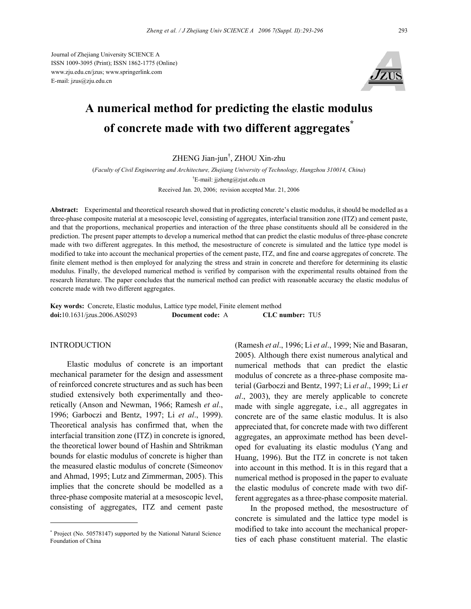Journal of Zhejiang University SCIENCE A ISSN 1009-3095 (Print); ISSN 1862-1775 (Online) www.zju.edu.cn/jzus; www.springerlink.com E-mail: jzus@zju.edu.cn



# **A numerical method for predicting the elastic modulus of concrete made with two different aggregates\***

ZHENG Jian-jun† , ZHOU Xin-zhu

(*Faculty of Civil Engineering and Architecture, Zhejiang University of Technology, Hangzhou 310014, China*) <sup>†</sup>E-mail: jjzheng@zjut.edu.cn Received Jan. 20, 2006; revision accepted Mar. 21, 2006

**Abstract:** Experimental and theoretical research showed that in predicting concrete's elastic modulus, it should be modelled as a three-phase composite material at a mesoscopic level, consisting of aggregates, interfacial transition zone (ITZ) and cement paste, and that the proportions, mechanical properties and interaction of the three phase constituents should all be considered in the prediction. The present paper attempts to develop a numerical method that can predict the elastic modulus of three-phase concrete made with two different aggregates. In this method, the mesostructure of concrete is simulated and the lattice type model is modified to take into account the mechanical properties of the cement paste, ITZ, and fine and coarse aggregates of concrete. The finite element method is then employed for analyzing the stress and strain in concrete and therefore for determining its elastic modulus. Finally, the developed numerical method is verified by comparison with the experimental results obtained from the research literature. The paper concludes that the numerical method can predict with reasonable accuracy the elastic modulus of concrete made with two different aggregates.

**Key words:** Concrete, Elastic modulus, Lattice type model, Finite element method **doi:**10.1631/jzus.2006.AS0293 **Document code:** A **CLC number:** TU5

#### INTRODUCTION

Elastic modulus of concrete is an important mechanical parameter for the design and assessment of reinforced concrete structures and as such has been studied extensively both experimentally and theoretically (Anson and Newman, 1966; Ramesh *et al*., 1996; Garboczi and Bentz, 1997; Li *et al*., 1999). Theoretical analysis has confirmed that, when the interfacial transition zone (ITZ) in concrete is ignored, the theoretical lower bound of Hashin and Shtrikman bounds for elastic modulus of concrete is higher than the measured elastic modulus of concrete (Simeonov and Ahmad, 1995; Lutz and Zimmerman, 2005). This implies that the concrete should be modelled as a three-phase composite material at a mesoscopic level, consisting of aggregates, ITZ and cement paste

(Ramesh *et al*., 1996; Li *et al*., 1999; Nie and Basaran, 2005). Although there exist numerous analytical and numerical methods that can predict the elastic modulus of concrete as a three-phase composite material (Garboczi and Bentz, 1997; Li *et al*., 1999; Li *et al*., 2003), they are merely applicable to concrete made with single aggregate, i.e., all aggregates in concrete are of the same elastic modulus. It is also appreciated that, for concrete made with two different aggregates, an approximate method has been developed for evaluating its elastic modulus (Yang and Huang, 1996). But the ITZ in concrete is not taken into account in this method. It is in this regard that a numerical method is proposed in the paper to evaluate the elastic modulus of concrete made with two different aggregates as a three-phase composite material.

In the proposed method, the mesostructure of concrete is simulated and the lattice type model is modified to take into account the mechanical properties of each phase constituent material. The elastic

<sup>\*</sup> Project (No. 50578147) supported by the National Natural Science Foundation of China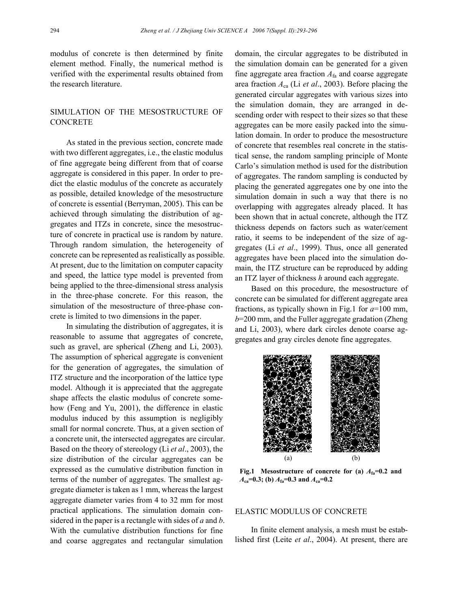modulus of concrete is then determined by finite element method. Finally, the numerical method is verified with the experimental results obtained from the research literature.

# SIMULATION OF THE MESOSTRUCTURE OF **CONCRETE**

As stated in the previous section, concrete made with two different aggregates, i.e., the elastic modulus of fine aggregate being different from that of coarse aggregate is considered in this paper. In order to predict the elastic modulus of the concrete as accurately as possible, detailed knowledge of the mesostructure of concrete is essential (Berryman, 2005). This can be achieved through simulating the distribution of aggregates and ITZs in concrete, since the mesostructure of concrete in practical use is random by nature. Through random simulation, the heterogeneity of concrete can be represented as realistically as possible. At present, due to the limitation on computer capacity and speed, the lattice type model is prevented from being applied to the three-dimensional stress analysis in the three-phase concrete. For this reason, the simulation of the mesostructure of three-phase concrete is limited to two dimensions in the paper.

In simulating the distribution of aggregates, it is reasonable to assume that aggregates of concrete, such as gravel, are spherical (Zheng and Li, 2003). The assumption of spherical aggregate is convenient for the generation of aggregates, the simulation of ITZ structure and the incorporation of the lattice type model. Although it is appreciated that the aggregate shape affects the elastic modulus of concrete somehow (Feng and Yu, 2001), the difference in elastic modulus induced by this assumption is negligibly small for normal concrete. Thus, at a given section of a concrete unit, the intersected aggregates are circular. Based on the theory of stereology (Li *et al*., 2003), the size distribution of the circular aggregates can be expressed as the cumulative distribution function in terms of the number of aggregates. The smallest aggregate diameter is taken as 1 mm, whereas the largest aggregate diameter varies from 4 to 32 mm for most practical applications. The simulation domain considered in the paper is a rectangle with sides of *a* and *b*. With the cumulative distribution functions for fine and coarse aggregates and rectangular simulation

domain, the circular aggregates to be distributed in the simulation domain can be generated for a given fine aggregate area fraction *A*fa and coarse aggregate area fraction *A*ca (Li *et al*., 2003). Before placing the generated circular aggregates with various sizes into the simulation domain, they are arranged in descending order with respect to their sizes so that these aggregates can be more easily packed into the simulation domain. In order to produce the mesostructure of concrete that resembles real concrete in the statistical sense, the random sampling principle of Monte Carlo's simulation method is used for the distribution of aggregates. The random sampling is conducted by placing the generated aggregates one by one into the simulation domain in such a way that there is no overlapping with aggregates already placed. It has been shown that in actual concrete, although the ITZ thickness depends on factors such as water/cement ratio, it seems to be independent of the size of aggregates (Li *et al*., 1999). Thus, once all generated aggregates have been placed into the simulation domain, the ITZ structure can be reproduced by adding an ITZ layer of thickness *h* around each aggregate.

Based on this procedure, the mesostructure of concrete can be simulated for different aggregate area fractions, as typically shown in Fig.1 for *a*=100 mm, *b*=200 mm, and the Fuller aggregate gradation (Zheng and Li, 2003), where dark circles denote coarse aggregates and gray circles denote fine aggregates.



**Fig.1** Mesostructure of concrete for (a)  $A_{fa}=0.2$  and  $A_{ca} = 0.3$ ; (b)  $A_{fa} = 0.3$  and  $A_{ca} = 0.2$ 

### ELASTIC MODULUS OF CONCRETE

In finite element analysis, a mesh must be established first (Leite *et al*., 2004). At present, there are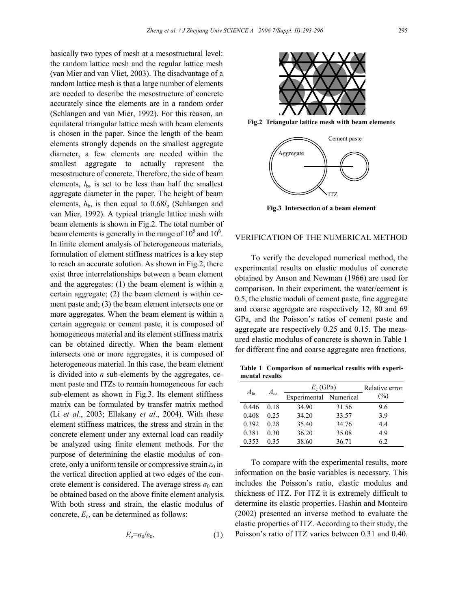basically two types of mesh at a mesostructural level: the random lattice mesh and the regular lattice mesh (van Mier and van Vliet, 2003). The disadvantage of a random lattice mesh is that a large number of elements are needed to describe the mesostructure of concrete accurately since the elements are in a random order (Schlangen and van Mier, 1992). For this reason, an equilateral triangular lattice mesh with beam elements is chosen in the paper. Since the length of the beam elements strongly depends on the smallest aggregate diameter, a few elements are needed within the smallest aggregate to actually represent the mesostructure of concrete. Therefore, the side of beam elements,  $l_{\rm b}$ , is set to be less than half the smallest aggregate diameter in the paper. The height of beam elements,  $h<sub>b</sub>$ , is then equal to  $0.68l<sub>b</sub>$  (Schlangen and van Mier, 1992). A typical triangle lattice mesh with beam elements is shown in Fig.2. The total number of beam elements is generally in the range of  $10^5$  and  $10^6$ . In finite element analysis of heterogeneous materials, formulation of element stiffness matrices is a key step to reach an accurate solution. As shown in Fig.2, there exist three interrelationships between a beam element and the aggregates: (1) the beam element is within a certain aggregate; (2) the beam element is within cement paste and; (3) the beam element intersects one or more aggregates. When the beam element is within a certain aggregate or cement paste, it is composed of homogeneous material and its element stiffness matrix can be obtained directly. When the beam element intersects one or more aggregates, it is composed of heterogeneous material. In this case, the beam element is divided into *n* sub-elements by the aggregates, cement paste and ITZs to remain homogeneous for each sub-element as shown in Fig.3. Its element stiffness matrix can be formulated by transfer matrix method (Li *et al*., 2003; Ellakany *et al*., 2004). With these element stiffness matrices, the stress and strain in the concrete element under any external load can readily be analyzed using finite element methods. For the purpose of determining the elastic modulus of concrete, only a uniform tensile or compressive strain  $\varepsilon_0$  in the vertical direction applied at two edges of the concrete element is considered. The average stress  $\sigma_0$  can be obtained based on the above finite element analysis. With both stress and strain, the elastic modulus of concrete,  $E_c$ , can be determined as follows:

$$
E_{\rm c} = \sigma_0 / \varepsilon_0. \tag{1}
$$



**Fig.2 Triangular lattice mesh with beam elements**



**Fig.3 Intersection of a beam element**

# VERIFICATION OF THE NUMERICAL METHOD

To verify the developed numerical method, the experimental results on elastic modulus of concrete obtained by Anson and Newman (1966) are used for comparison. In their experiment, the water/cement is 0.5, the elastic moduli of cement paste, fine aggregate and coarse aggregate are respectively 12, 80 and 69 GPa, and the Poisson's ratios of cement paste and aggregate are respectively 0.25 and 0.15. The measured elastic modulus of concrete is shown in Table 1 for different fine and coarse aggregate area fractions.

**Table 1 Comparison of numerical results with experimental results** 

| $A_{fa}$ | $A_{ca}$ | $E_c$ (GPa)            |       | Relative error |
|----------|----------|------------------------|-------|----------------|
|          |          | Experimental Numerical |       | $(\%)$         |
| 0.446    | 0.18     | 34.90                  | 31.56 | 9.6            |
| 0.408    | 0.25     | 34.20                  | 33.57 | 39             |
| 0.392    | 0.28     | 35.40                  | 34.76 | 44             |
| 0.381    | 0.30     | 36.20                  | 35.08 | 4.9            |
| 0.353    | 0.35     | 38.60                  | 36.71 | 62             |

To compare with the experimental results, more information on the basic variables is necessary. This includes the Poisson's ratio, elastic modulus and thickness of ITZ. For ITZ it is extremely difficult to determine its elastic properties. Hashin and Monteiro (2002) presented an inverse method to evaluate the elastic properties of ITZ. According to their study, the Poisson's ratio of ITZ varies between 0.31 and 0.40.